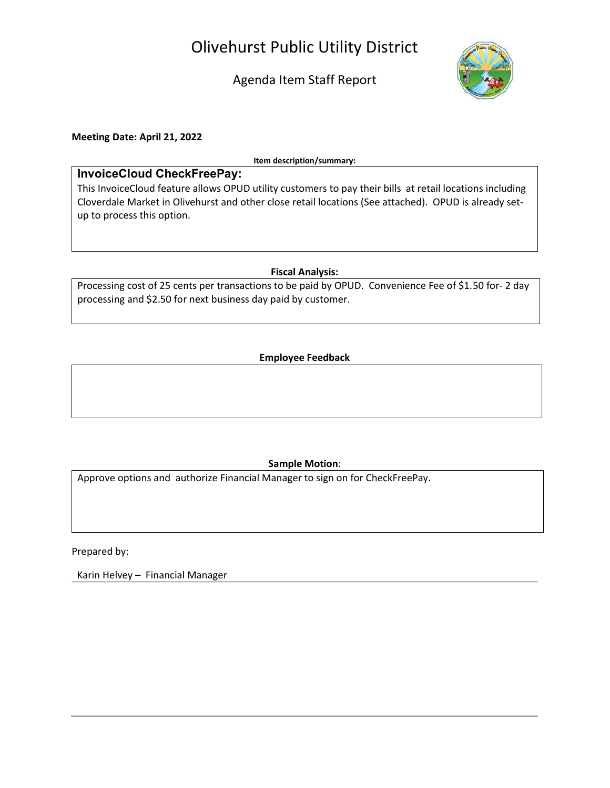# Olivehurst Public Utility District

Agenda Item Staff Report



Meeting Date: April 21, 2022

Item description/summary:

## InvoiceCloud CheckFreePay:

This InvoiceCloud feature allows OPUD utility customers to pay their bills at retail locations including Cloverdale Market in Olivehurst and other close retail locations (See attached). OPUD is already setup to process this option.

## Fiscal Analysis:

Processing cost of 25 cents per transactions to be paid by OPUD. Convenience Fee of \$1.50 for- 2 day processing and \$2.50 for next business day paid by customer.

## Employee Feedback

## Sample Motion:

Approve options and authorize Financial Manager to sign on for CheckFreePay.

Prepared by:

Karin Helvey – Financial Manager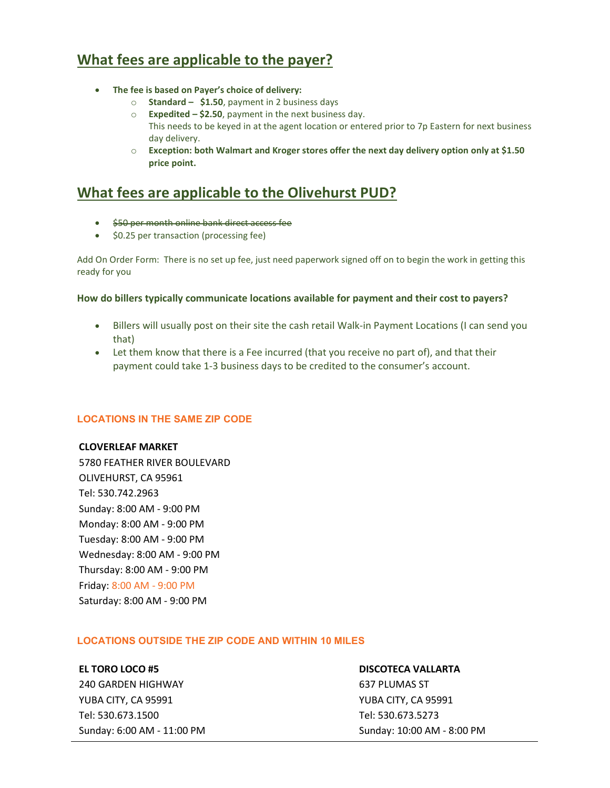# What fees are applicable to the payer?

- The fee is based on Payer's choice of delivery:
	- $\circ$  Standard \$1.50, payment in 2 business days
	- $\circ$  Expedited \$2.50, payment in the next business day. This needs to be keyed in at the agent location or entered prior to 7p Eastern for next business day delivery.
	- $\circ$  Exception: both Walmart and Kroger stores offer the next day delivery option only at \$1.50 price point.

# What fees are applicable to the Olivehurst PUD?

- \$50 per month online bank direct access fee
- \$0.25 per transaction (processing fee)

Add On Order Form: There is no set up fee, just need paperwork signed off on to begin the work in getting this ready for you

#### How do billers typically communicate locations available for payment and their cost to payers?

- Billers will usually post on their site the cash retail Walk-in Payment Locations (I can send you that)
- Let them know that there is a Fee incurred (that you receive no part of), and that their payment could take 1-3 business days to be credited to the consumer's account.

## LOCATIONS IN THE SAME ZIP CODE

#### CLOVERLEAF MARKET

5780 FEATHER RIVER BOULEVARD OLIVEHURST, CA 95961 Tel: 530.742.2963 Sunday: 8:00 AM - 9:00 PM Monday: 8:00 AM - 9:00 PM Tuesday: 8:00 AM - 9:00 PM Wednesday: 8:00 AM - 9:00 PM Thursday: 8:00 AM - 9:00 PM Friday: 8:00 AM - 9:00 PM Saturday: 8:00 AM - 9:00 PM

#### LOCATIONS OUTSIDE THE ZIP CODE AND WITHIN 10 MILES

#### EL TORO LOCO #5

240 GARDEN HIGHWAY YUBA CITY, CA 95991 Tel: 530.673.1500 Sunday: 6:00 AM - 11:00 PM

#### DISCOTECA VALLARTA

637 PLUMAS ST YUBA CITY, CA 95991 Tel: 530.673.5273 Sunday: 10:00 AM - 8:00 PM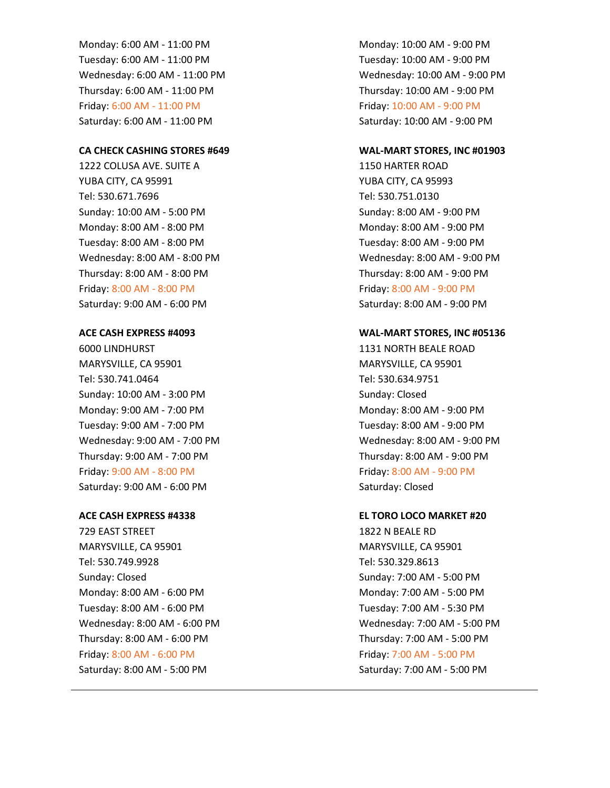Monday: 6:00 AM - 11:00 PM Tuesday: 6:00 AM - 11:00 PM Wednesday: 6:00 AM - 11:00 PM Thursday: 6:00 AM - 11:00 PM Friday: 6:00 AM - 11:00 PM Saturday: 6:00 AM - 11:00 PM

#### CA CHECK CASHING STORES #649

1222 COLUSA AVE. SUITE A YUBA CITY, CA 95991 Tel: 530.671.7696 Sunday: 10:00 AM - 5:00 PM Monday: 8:00 AM - 8:00 PM Tuesday: 8:00 AM - 8:00 PM Wednesday: 8:00 AM - 8:00 PM Thursday: 8:00 AM - 8:00 PM Friday: 8:00 AM - 8:00 PM Saturday: 9:00 AM - 6:00 PM

#### ACE CASH EXPRESS #4093

6000 LINDHURST MARYSVILLE, CA 95901 Tel: 530.741.0464 Sunday: 10:00 AM - 3:00 PM Monday: 9:00 AM - 7:00 PM Tuesday: 9:00 AM - 7:00 PM Wednesday: 9:00 AM - 7:00 PM Thursday: 9:00 AM - 7:00 PM Friday: 9:00 AM - 8:00 PM Saturday: 9:00 AM - 6:00 PM

#### ACE CASH EXPRESS #4338

729 EAST STREET MARYSVILLE, CA 95901 Tel: 530.749.9928 Sunday: Closed Monday: 8:00 AM - 6:00 PM Tuesday: 8:00 AM - 6:00 PM Wednesday: 8:00 AM - 6:00 PM Thursday: 8:00 AM - 6:00 PM Friday: 8:00 AM - 6:00 PM Saturday: 8:00 AM - 5:00 PM

Monday: 10:00 AM - 9:00 PM Tuesday: 10:00 AM - 9:00 PM Wednesday: 10:00 AM - 9:00 PM Thursday: 10:00 AM - 9:00 PM Friday: 10:00 AM - 9:00 PM Saturday: 10:00 AM - 9:00 PM

#### WAL-MART STORES, INC #01903

1150 HARTER ROAD YUBA CITY, CA 95993 Tel: 530.751.0130 Sunday: 8:00 AM - 9:00 PM Monday: 8:00 AM - 9:00 PM Tuesday: 8:00 AM - 9:00 PM Wednesday: 8:00 AM - 9:00 PM Thursday: 8:00 AM - 9:00 PM Friday: 8:00 AM - 9:00 PM Saturday: 8:00 AM - 9:00 PM

#### WAL-MART STORES, INC #05136

1131 NORTH BEALE ROAD MARYSVILLE, CA 95901 Tel: 530.634.9751 Sunday: Closed Monday: 8:00 AM - 9:00 PM Tuesday: 8:00 AM - 9:00 PM Wednesday: 8:00 AM - 9:00 PM Thursday: 8:00 AM - 9:00 PM Friday: 8:00 AM - 9:00 PM Saturday: Closed

#### EL TORO LOCO MARKET #20

1822 N BEALE RD MARYSVILLE, CA 95901 Tel: 530.329.8613 Sunday: 7:00 AM - 5:00 PM Monday: 7:00 AM - 5:00 PM Tuesday: 7:00 AM - 5:30 PM Wednesday: 7:00 AM - 5:00 PM Thursday: 7:00 AM - 5:00 PM Friday: 7:00 AM - 5:00 PM Saturday: 7:00 AM - 5:00 PM